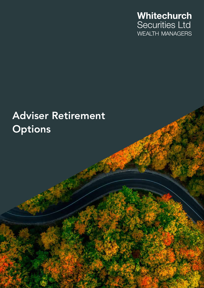

# Adviser Retirement **Options**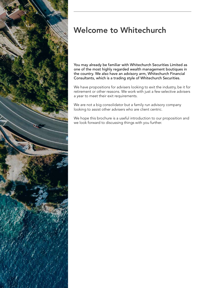

# Welcome to Whitechurch

You may already be familiar with Whitechurch Securities Limited as one of the most highly regarded wealth management boutiques in the country. We also have an advisory arm, Whitechurch Financial Consultants, which is a trading style of Whitechurch Securities.

We have propositions for advisers looking to exit the industry, be it for retirement or other reasons. We work with just a few selective advisers a year to meet their exit requirements.

We are not a big consolidator but a family run advisory company looking to assist other advisers who are client centric.

We hope this brochure is a useful introduction to our proposition and we look forward to discussing things with you further.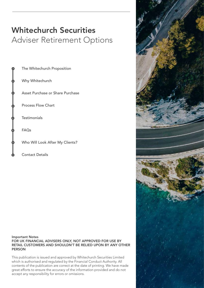# Whitechurch Securities Adviser Retirement Options

The Whitechurch Proposition Why Whitechurch Asset Purchase or Share Purchase Process Flow Chart **Testimonials** FAQs Who Will Look After My Clients? Contact Details

Important Notes FOR UK FINANCIAL ADVISERS ONLY, NOT APPROVED FOR USE BY RETAIL CUSTOMERS AND SHOULDN'T BE RELIED UPON BY ANY OTHER PERSON

This publication is issued and approved by Whitechurch Securities Limited which is authorised and regulated by the Financial Conduct Authority. All contents of the publication are correct at the date of printing. We have made great efforts to ensure the accuracy of the information provided and do not accept any responsibility for errors or omissions.

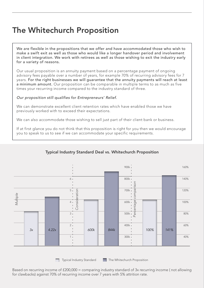# The Whitechurch Proposition

We are flexible in the propositions that we offer and have accommodated those who wish to make a swift exit as well as those who would like a longer handover period and involvement in client integration. We work with retirees as well as those wishing to exit the industry early for a variety of reasons.

Our usual proposition is an annuity payment based on a percentage payment of ongoing advisory fees payable over a number of years, for example 70% of recurring advisory fees for 7 years. For the right businesses we will guarantee that the annuity payments will reach at least a minimum amount. Our proposition can be comparable in multiple terms to as much as five times your recurring income compared to the industry standard of three.

### *Our proposition still qualifies for Entrepreneurs' Relief.*

We can demonstrate excellent client retention rates which have enabled those we have previously worked with to exceed their expectations.

We can also accommodate those wishing to sell just part of their client bank or business.

If at first glance you do not think that this proposition is right for you then we would encourage you to speak to us to see if we can accommodate your specific requirements.

### Typical Industry Standard Deal vs. Whitechurch Proposition



Based on recurring income of £200,000 = comparing industry standard of 3x recurring income ( not allowing for clawbacks) against 70% of recurring income over 7 years with 5% attrition rate.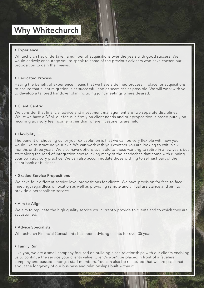### Why Whitechurch

### • Experience

Whitechurch has undertaken a number of acquisitions over the years with good success. We would actively encourage you to speak to some of the previous advisers who have chosen our proposition to gain their views.

### • Dedicated Process

Having the benefit of experience means that we have a defined process in place for acquisitions to ensure that client migration is as successful and as seamless as possible. We will work with you to develop a tailored handover plan including joint meetings where desired.

### • Client Centric

We consider that financial advice and investment management are two separate disciplines. Whilst we have a DFM, our focus is firmly on client needs and our proposition is based purely on recurring advisory fee income rather than where investments are held.

### • Flexibility

The benefit of choosing us for your exit solution is that we can be very flexible with how you would like to structure your exit. We can work with you whether you are looking to exit in six months or three years. We also have options available to those wanting to retire in a few years but start along the road of integration now relieving many of the headaches that come with running your own advisory practice. We can also accommodate those wishing to sell just part of their client bank or business.

### • Graded Service Propositions

We have four different service level propositions for clients. We have provision for face to face meetings regardless of location as well as providing remote and virtual assistance and aim to provide a personalised service.

### • Aim to Align

We aim to replicate the high quality service you currently provide to clients and to which they are accustomed.

### • Advice Specialists

Whitechurch Financial Consultants has been advising clients for over 35 years.

### • Family Run

Like you, we are a small company focused on building close relationships with our clients enabling us to continue the service your clients value. Client's won't be placed in front of a faceless company and passed amongst staff members. You can also be reassured that we are passionate about the longevity of our business and relationships built within it.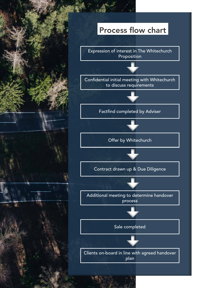### Process flow chart

Expression of interest in The Whitechurch Proposition

Confidential initial meeting with Whitechurch to discuss requirements

Factfind completed by Adviser

Offer by Whitechurch

Contract drawn up & Due Diligence



Additional meeting to determine handover process



Sale completed

Clients on-board in line with agreed handover plan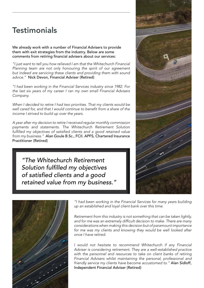### **Testimonials**

We already work with a number of Financial Advisers to provide them with exit strategies from the industry. Below are some comments from retiring financial advisers about our services:

*"I just want to tell you how relieved I am that the Whitechurch Financial Planning team are not only honouring the spirit of our agreement but indeed are servicing these clients and providing them with sound advice."* Nick Devon, Financial Adviser (Retired)

*"I had been working in the Financial Services industry since 1982. For the last six years of my career I ran my own small Financial Advisers Company.*

*When I decided to retire I had two priorities. That my clients would be well cared for, and that I would continue to benefit from a share of the income I strived to build up over the years.*

*A year after my decision to retire I received regular monthly commission payments and statements. The Whitechurch Retirement Solution fulfilled my objectives of satisfied clients and a good retained value from my business."* Alan Goule B.Sc., FCII. APFS, Chartered Insurance Practitioner (Retired)

*"The Whitechurch Retirement Solution fulfilled my objectives of satisfied clients and a good retained value from my business."* 





*"I had been working in the Financial Services for many years building up an established and loyal client bank over this time.*

*Retirement from this industry is not something that can be taken lightly, and for me was an extremely difficult decision to make. There are many considerations when making this decision but of paramount importance*  for me was my clients and knowing they would be well looked after *once I have retired.*

*I would not hesitate to recommend Whitechurch if any Financial Adviser is considering retirement. They are a well-established practice with the personnel and resources to take on client banks of retiring Financial Advisers whilst maintaining the personal, professional and friendly service my clients have become accustomed to."* Alan Sidloff, Independent Financial Adviser (Retired)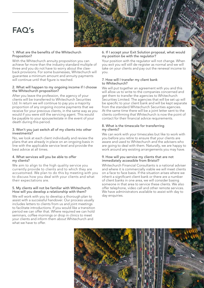## FAQ's



#### 1. What are the benefits of the Whitechurch Proposition?

With the Whitechurch annuity proposition you can achieve far more than the industry standard multiple of three and you do not have to worry about the clawback provisions. For some businesses, Whitechurch will guarantee a minimum amount and annuity payments will continue until that figure is reached.

#### 2. What will happen to my ongoing income if I choose the Whitechurch proposition?

After you leave the profession, the agency of your clients will be transferred to Whitechurch Securities Ltd. In return we will continue to pay you a majority proportion of any ongoing income payments that we receive for your previous clients, in the same way as you would if you were still the servicing agent. This would be payable to your spouse/estate in the event of your death during this period.

#### 3. Won't you just switch all of my clients into other investments?

No, we look at each client individually and review the plans that are already in place on an ongoing basis in line with the applicable service level and provide the best advice at all times.

#### 4. What services will you be able to offer my clients?

We aim to align to the high quality service you currently provide to clients and to which they are accustomed. We plan to do this by meeting with you to discuss how you deal with your clients and what their expectations are.

### 5. My clients will not be familiar with Whitechurch. How will you develop a relationship with them?

We will work with you to develop a thorough plan to assist with a successful handover. Our process usually includes letters to clients from us and joint meetings to facilitate introductions. If you would like a transition period we can offer that. Where required we can hold seminars, coffee mornings or drop in clinics to meet your clients and inform them about Whitechurch and what we have to offer.

#### 6. If I accept your Exit Solution proposal, what would my position be with the regulator?

Your position with the regulator will not change. When you exit you will still de-register as normal and we will take on your clients and pay out the renewal income to you.

#### 7. How will I transfer my client bank to Whitechurch?

We will put together an agreement with you and this will allow us to write to the companies concerned and get them to transfer the agencies to Whitechurch Securities Limited. The agencies that will be set up will be specific to your client bank and will be kept separate from the standard Whitechurch Securities agencies. At the same time there will be a joint letter sent to the clients confirming that Whitechurch is now the point of contact for their financial advice requirements.

### 8. What is the timescale for transferring my clients?

We can work with your timescales but like to work with you before you retire to ensure that your clients are aware and used to Whitechurch and the advisers who are going to deal with them. Naturally, we are happy to work around any existing arrangements you may have.

#### 9. How will you service my clients that are not immediately accessible from Bristol?

Whitechurch Financial Consultants is a national adviser and where it is commercially viable we will meet clients on a face to face basis. If the situation arises where we inherit a significant client bank or there are a number of client banks in one area, we will consider basing someone in that area to service these clients. We also offer telephone, video call and other remote services. We have administrators available to assist with day to day enquiries.

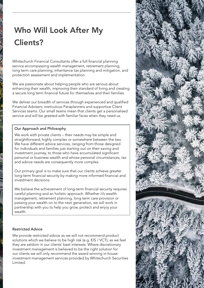# Who Will Look After My Clients?

Whitechurch Financial Consultants offer a full financial planning service encompassing wealth management, retirement planning, long term care planning, inheritance tax planning and mitigation, and protection assessment and implementation.

We are passionate about helping people who are serious about enhancing their wealth, improving their standard of living and creating a secure long term financial future for themselves and their families.

We deliver our breadth of services through experienced and qualified Financial Advisers; meticulous Paraplanners and supportive Client Services teams. Our small teams mean that clients get a personalised service and will be greeted with familiar faces when they need us.

### Our Approach and Philosophy

We work with private clients – their needs may be simple and straightforward; highly complex or somewhere between the two. We have different advice services, ranging from those designed for individuals and families just starting out on their saving and investment journey, to those who have accumulated significant personal or business wealth and whose personal circumstances, tax and advice needs are consequently more complex.

Our primary goal is to make sure that our clients achieve greater long-term financial security by making more informed financial and investment decisions.

We believe the achievement of long-term financial security requires careful planning and an holistic approach. Whether it's wealth management, retirement planning, long term care provision or passing your wealth on to the next generation, we will work in partnership with you to help you grow, protect and enjoy your wealth.

### Restricted Advice

We provide restricted advice as we will not recommend product solutions which we believe to be high risk (e.g. EIS / VCT), as we feel they are seldom in our clients' best interests. Where discretionary investment management is believed to be the right solution for our clients we will only recommend the award winning in-house investment management services provided by Whitechurch Securities Limited.

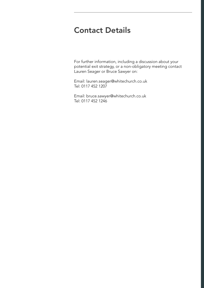### Contact Details

For further information, including a discussion about your potential exit strategy, or a non-obligatory meeting contact Lauren Seager or Bruce Sawyer on:

Email: lauren.seager@whitechurch.co.uk Tel: 0117 452 1207

Email: bruce.sawyer@whitechurch.co.uk Tel: 0117 452 1246